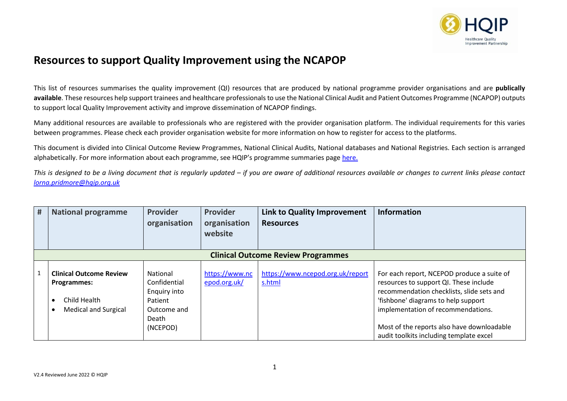

## **Resources to support Quality Improvement using the NCAPOP**

This list of resources summarises the quality improvement (QI) resources that are produced by national programme provider organisations and are **publically available**. These resources help support trainees and healthcare professionals to use the National Clinical Audit and Patient Outcomes Programme (NCAPOP) outputs to support local Quality Improvement activity and improve dissemination of NCAPOP findings.

Many additional resources are available to professionals who are registered with the provider organisation platform. The individual requirements for this varies between programmes. Please check each provider organisation website for more information on how to register for access to the platforms.

This document is divided into Clinical Outcome Review Programmes, National Clinical Audits, National databases and National Registries. Each section is arranged alphabetically. For more information about each programme, see HQIP's programme summaries page [here.](https://www.hqip.org.uk/programme-summaries/#.YO8F4-hKiUl)

*This is designed to be a living document that is regularly updated – if you are aware of additional resources available or changes to current links please contact [lorna.pridmore@hqip.org.uk](mailto:Hannah.wright@hqip.org.uk)*

| # | <b>National programme</b>                                                                    | <b>Provider</b><br>organisation                                                         | <b>Provider</b><br>organisation<br>website | <b>Link to Quality Improvement</b><br><b>Resources</b> | <b>Information</b>                                                                                                                                                                                                                                                                                      |  |  |  |  |
|---|----------------------------------------------------------------------------------------------|-----------------------------------------------------------------------------------------|--------------------------------------------|--------------------------------------------------------|---------------------------------------------------------------------------------------------------------------------------------------------------------------------------------------------------------------------------------------------------------------------------------------------------------|--|--|--|--|
|   | <b>Clinical Outcome Review Programmes</b>                                                    |                                                                                         |                                            |                                                        |                                                                                                                                                                                                                                                                                                         |  |  |  |  |
|   | <b>Clinical Outcome Review</b><br>Programmes:<br>Child Health<br><b>Medical and Surgical</b> | National<br>Confidential<br>Enquiry into<br>Patient<br>Outcome and<br>Death<br>(NCEPOD) | https://www.nc<br>epod.org.uk/             | https://www.ncepod.org.uk/report<br>s.html             | For each report, NCEPOD produce a suite of<br>resources to support QI. These include<br>recommendation checklists, slide sets and<br>'fishbone' diagrams to help support<br>implementation of recommendations.<br>Most of the reports also have downloadable<br>audit toolkits including template excel |  |  |  |  |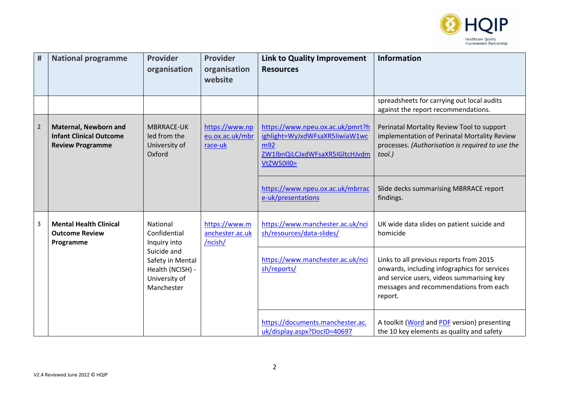

| #              | <b>National programme</b>                                                                 | <b>Provider</b><br>organisation                                                                                                | <b>Provider</b><br>organisation<br>website   | <b>Link to Quality Improvement</b><br><b>Resources</b>                                                                    | <b>Information</b>                                                                                                                                                                        |
|----------------|-------------------------------------------------------------------------------------------|--------------------------------------------------------------------------------------------------------------------------------|----------------------------------------------|---------------------------------------------------------------------------------------------------------------------------|-------------------------------------------------------------------------------------------------------------------------------------------------------------------------------------------|
|                |                                                                                           |                                                                                                                                |                                              |                                                                                                                           | spreadsheets for carrying out local audits<br>against the report recommendations.                                                                                                         |
| $\overline{2}$ | <b>Maternal, Newborn and</b><br><b>Infant Clinical Outcome</b><br><b>Review Programme</b> | <b>MBRRACE-UK</b><br>led from the<br>University of<br>Oxford                                                                   | https://www.np<br>eu.ox.ac.uk/mbr<br>race-uk | https://www.npeu.ox.ac.uk/pmrt?h<br>ighlight=WyJxdWFsaXR5IiwiaW1wc<br>m92<br>ZW1lbnQiLCJxdWFsaXR5IGltcHJvdm<br>VtZW50II0= | Perinatal Mortality Review Tool to support<br>implementation of Perinatal Mortality Review<br>processes. (Authorisation is required to use the<br>tool.)                                  |
|                |                                                                                           |                                                                                                                                |                                              | https://www.npeu.ox.ac.uk/mbrrac<br>e-uk/presentations                                                                    | Slide decks summarising MBRRACE report<br>findings.                                                                                                                                       |
| 3              | <b>Mental Health Clinical</b><br><b>Outcome Review</b><br>Programme                       | National<br>Confidential<br>Inquiry into<br>Suicide and<br>Safety in Mental<br>Health (NCISH) -<br>University of<br>Manchester | https://www.m<br>anchester.ac.uk<br>/ncish/  | https://www.manchester.ac.uk/nci<br>sh/resources/data-slides/                                                             | UK wide data slides on patient suicide and<br>homicide                                                                                                                                    |
|                |                                                                                           |                                                                                                                                |                                              | https://www.manchester.ac.uk/nci<br>sh/reports/                                                                           | Links to all previous reports from 2015<br>onwards, including infographics for services<br>and service users, videos summarising key<br>messages and recommendations from each<br>report. |
|                |                                                                                           |                                                                                                                                |                                              | https://documents.manchester.ac.<br>uk/display.aspx?DocID=40697                                                           | A toolkit (Word and PDF version) presenting<br>the 10 key elements as quality and safety                                                                                                  |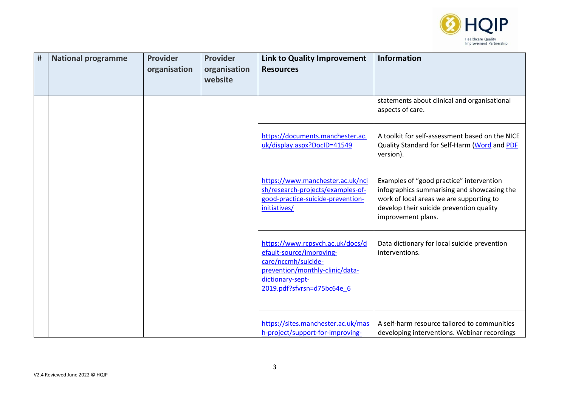

| # | <b>National programme</b> | <b>Provider</b><br>organisation | <b>Provider</b><br>organisation<br>website | Link to Quality Improvement<br><b>Resources</b>                                                                                                                          | <b>Information</b>                                                                                                                                                                                    |
|---|---------------------------|---------------------------------|--------------------------------------------|--------------------------------------------------------------------------------------------------------------------------------------------------------------------------|-------------------------------------------------------------------------------------------------------------------------------------------------------------------------------------------------------|
|   |                           |                                 |                                            |                                                                                                                                                                          | statements about clinical and organisational<br>aspects of care.                                                                                                                                      |
|   |                           |                                 |                                            | https://documents.manchester.ac.<br>uk/display.aspx?DocID=41549                                                                                                          | A toolkit for self-assessment based on the NICE<br>Quality Standard for Self-Harm (Word and PDF<br>version).                                                                                          |
|   |                           |                                 |                                            | https://www.manchester.ac.uk/nci<br>sh/research-projects/examples-of-<br>good-practice-suicide-prevention-<br>initiatives/                                               | Examples of "good practice" intervention<br>infographics summarising and showcasing the<br>work of local areas we are supporting to<br>develop their suicide prevention quality<br>improvement plans. |
|   |                           |                                 |                                            | https://www.rcpsych.ac.uk/docs/d<br>efault-source/improving-<br>care/nccmh/suicide-<br>prevention/monthly-clinic/data-<br>dictionary-sept-<br>2019.pdf?sfvrsn=d75bc64e 6 | Data dictionary for local suicide prevention<br>interventions.                                                                                                                                        |
|   |                           |                                 |                                            | https://sites.manchester.ac.uk/mas<br>h-project/support-for-improving-                                                                                                   | A self-harm resource tailored to communities<br>developing interventions. Webinar recordings                                                                                                          |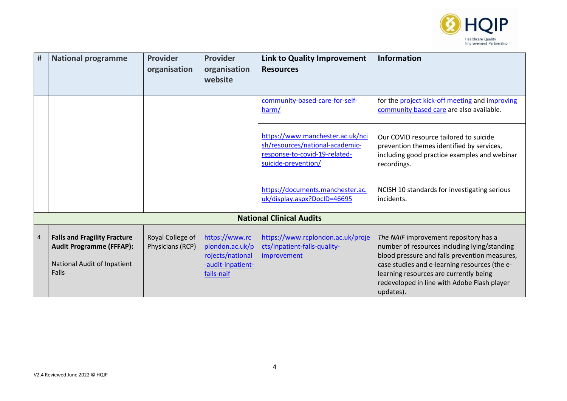

| $\pmb{\sharp}$ | <b>National programme</b>                                                                                      | <b>Provider</b>                      | <b>Provider</b>                                                                          | <b>Link to Quality Improvement</b>                                                                                          | <b>Information</b>                                                                                                                                                                                                                                                                            |
|----------------|----------------------------------------------------------------------------------------------------------------|--------------------------------------|------------------------------------------------------------------------------------------|-----------------------------------------------------------------------------------------------------------------------------|-----------------------------------------------------------------------------------------------------------------------------------------------------------------------------------------------------------------------------------------------------------------------------------------------|
|                |                                                                                                                | organisation                         | organisation<br>website                                                                  | <b>Resources</b>                                                                                                            |                                                                                                                                                                                                                                                                                               |
|                |                                                                                                                |                                      |                                                                                          | community-based-care-for-self-<br>harm/                                                                                     | for the project kick-off meeting and improving<br>community based care are also available.                                                                                                                                                                                                    |
|                |                                                                                                                |                                      |                                                                                          | https://www.manchester.ac.uk/nci<br>sh/resources/national-academic-<br>response-to-covid-19-related-<br>suicide-prevention/ | Our COVID resource tailored to suicide<br>prevention themes identified by services,<br>including good practice examples and webinar<br>recordings.                                                                                                                                            |
|                |                                                                                                                |                                      |                                                                                          | https://documents.manchester.ac.<br>uk/display.aspx?DocID=46695                                                             | NCISH 10 standards for investigating serious<br>incidents.                                                                                                                                                                                                                                    |
|                |                                                                                                                |                                      |                                                                                          | <b>National Clinical Audits</b>                                                                                             |                                                                                                                                                                                                                                                                                               |
| $\overline{4}$ | <b>Falls and Fragility Fracture</b><br><b>Audit Programme (FFFAP):</b><br>National Audit of Inpatient<br>Falls | Royal College of<br>Physicians (RCP) | https://www.rc<br>plondon.ac.uk/p<br>rojects/national<br>-audit-inpatient-<br>falls-naif | https://www.rcplondon.ac.uk/proje<br>cts/inpatient-falls-quality-<br>improvement                                            | The NAIF improvement repository has a<br>number of resources including lying/standing<br>blood pressure and falls prevention measures,<br>case studies and e-learning resources (the e-<br>learning resources are currently being<br>redeveloped in line with Adobe Flash player<br>updates). |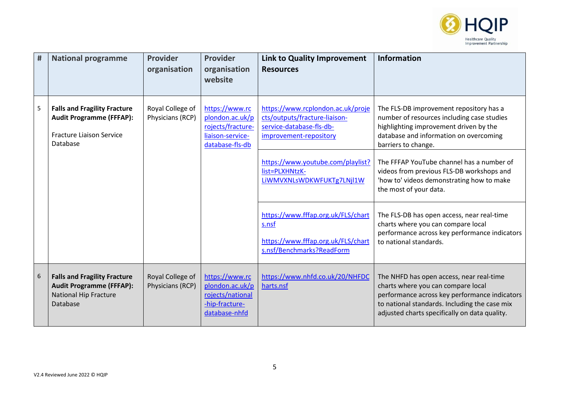

| # | <b>National programme</b>                                                                                             | <b>Provider</b><br>organisation      | <b>Provider</b><br>organisation<br>website                                                    | <b>Link to Quality Improvement</b><br><b>Resources</b>                                                                   | <b>Information</b>                                                                                                                                                                                                                |
|---|-----------------------------------------------------------------------------------------------------------------------|--------------------------------------|-----------------------------------------------------------------------------------------------|--------------------------------------------------------------------------------------------------------------------------|-----------------------------------------------------------------------------------------------------------------------------------------------------------------------------------------------------------------------------------|
| 5 | <b>Falls and Fragility Fracture</b><br><b>Audit Programme (FFFAP):</b><br><b>Fracture Liaison Service</b><br>Database | Royal College of<br>Physicians (RCP) | https://www.rc<br>plondon.ac.uk/p<br>rojects/fracture-<br>liaison-service-<br>database-fls-db | https://www.rcplondon.ac.uk/proje<br>cts/outputs/fracture-liaison-<br>service-database-fls-db-<br>improvement-repository | The FLS-DB improvement repository has a<br>number of resources including case studies<br>highlighting improvement driven by the<br>database and information on overcoming<br>barriers to change.                                  |
|   |                                                                                                                       |                                      |                                                                                               | https://www.youtube.com/playlist?<br>list=PLXHNtzK-<br>LIWMVXNLsWDKWFUKTg7LNjl1W                                         | The FFFAP YouTube channel has a number of<br>videos from previous FLS-DB workshops and<br>'how to' videos demonstrating how to make<br>the most of your data.                                                                     |
|   |                                                                                                                       |                                      |                                                                                               | https://www.fffap.org.uk/FLS/chart<br>s.nsf<br>https://www.fffap.org.uk/FLS/chart<br>s.nsf/Benchmarks?ReadForm           | The FLS-DB has open access, near real-time<br>charts where you can compare local<br>performance across key performance indicators<br>to national standards.                                                                       |
| 6 | <b>Falls and Fragility Fracture</b><br><b>Audit Programme (FFFAP):</b><br><b>National Hip Fracture</b><br>Database    | Royal College of<br>Physicians (RCP) | https://www.rc<br>plondon.ac.uk/p<br>rojects/national<br>-hip-fracture-<br>database-nhfd      | https://www.nhfd.co.uk/20/NHFDC<br>harts.nsf                                                                             | The NHFD has open access, near real-time<br>charts where you can compare local<br>performance across key performance indicators<br>to national standards. Including the case mix<br>adjusted charts specifically on data quality. |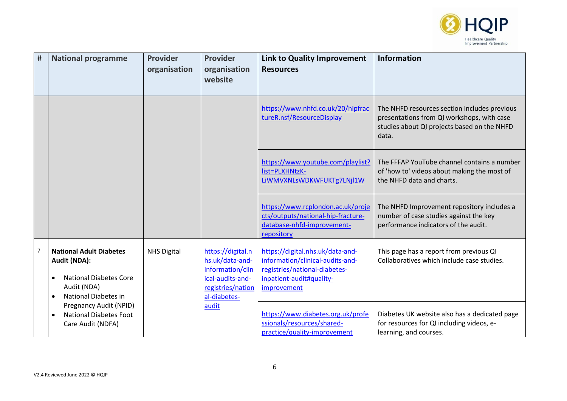

| #              | <b>National programme</b>                                                                                                           | <b>Provider</b><br>organisation | Provider<br>organisation<br>website                                                                               | <b>Link to Quality Improvement</b><br><b>Resources</b>                                                                                           | <b>Information</b>                                                                                                                                 |
|----------------|-------------------------------------------------------------------------------------------------------------------------------------|---------------------------------|-------------------------------------------------------------------------------------------------------------------|--------------------------------------------------------------------------------------------------------------------------------------------------|----------------------------------------------------------------------------------------------------------------------------------------------------|
|                |                                                                                                                                     |                                 |                                                                                                                   | https://www.nhfd.co.uk/20/hipfrac<br>tureR.nsf/ResourceDisplay                                                                                   | The NHFD resources section includes previous<br>presentations from QI workshops, with case<br>studies about QI projects based on the NHFD<br>data. |
|                |                                                                                                                                     |                                 |                                                                                                                   | https://www.youtube.com/playlist?<br>list=PLXHNtzK-<br>LiWMVXNLsWDKWFUKTg7LNjl1W                                                                 | The FFFAP YouTube channel contains a number<br>of 'how to' videos about making the most of<br>the NHFD data and charts.                            |
|                |                                                                                                                                     |                                 |                                                                                                                   | https://www.rcplondon.ac.uk/proje<br>cts/outputs/national-hip-fracture-<br>database-nhfd-improvement-<br>repository                              | The NHFD Improvement repository includes a<br>number of case studies against the key<br>performance indicators of the audit.                       |
| $\overline{7}$ | <b>National Adult Diabetes</b><br>Audit (NDA):<br><b>National Diabetes Core</b><br>Audit (NDA)<br>National Diabetes in<br>$\bullet$ | <b>NHS Digital</b>              | https://digital.n<br>hs.uk/data-and-<br>information/clin<br>ical-audits-and-<br>registries/nation<br>al-diabetes- | https://digital.nhs.uk/data-and-<br>information/clinical-audits-and-<br>registries/national-diabetes-<br>inpatient-audit#quality-<br>improvement | This page has a report from previous QI<br>Collaboratives which include case studies.                                                              |
|                | Pregnancy Audit (NPID)<br><b>National Diabetes Foot</b><br>$\bullet$<br>Care Audit (NDFA)                                           |                                 | audit                                                                                                             | https://www.diabetes.org.uk/profe<br>ssionals/resources/shared-<br>practice/quality-improvement                                                  | Diabetes UK website also has a dedicated page<br>for resources for QI including videos, e-<br>learning, and courses.                               |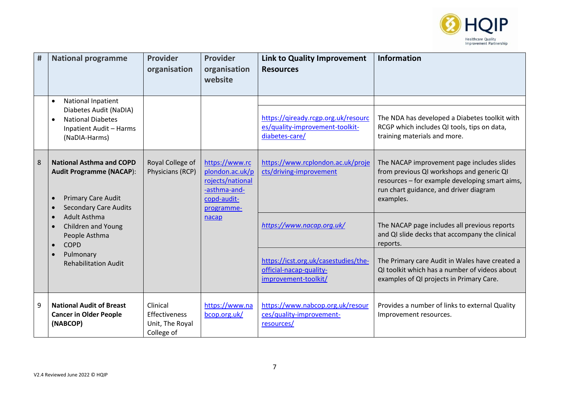

| # | <b>National programme</b>                                                                                                       | <b>Provider</b><br>organisation                            | <b>Provider</b><br>organisation<br>website                                                         | <b>Link to Quality Improvement</b><br><b>Resources</b>                                   | <b>Information</b>                                                                                                                                                                               |
|---|---------------------------------------------------------------------------------------------------------------------------------|------------------------------------------------------------|----------------------------------------------------------------------------------------------------|------------------------------------------------------------------------------------------|--------------------------------------------------------------------------------------------------------------------------------------------------------------------------------------------------|
|   | National Inpatient<br>$\bullet$<br>Diabetes Audit (NaDIA)                                                                       |                                                            |                                                                                                    |                                                                                          |                                                                                                                                                                                                  |
|   | <b>National Diabetes</b><br>$\bullet$<br><b>Inpatient Audit - Harms</b><br>(NaDIA-Harms)                                        |                                                            |                                                                                                    | https://qiready.rcgp.org.uk/resourc<br>es/quality-improvement-toolkit-<br>diabetes-care/ | The NDA has developed a Diabetes toolkit with<br>RCGP which includes QI tools, tips on data,<br>training materials and more.                                                                     |
| 8 | <b>National Asthma and COPD</b><br><b>Audit Programme (NACAP):</b><br><b>Primary Care Audit</b><br><b>Secondary Care Audits</b> | Royal College of<br>Physicians (RCP)                       | https://www.rc<br>plondon.ac.uk/p<br>rojects/national<br>-asthma-and-<br>copd-audit-<br>programme- | https://www.rcplondon.ac.uk/proje<br>cts/driving-improvement                             | The NACAP improvement page includes slides<br>from previous QI workshops and generic QI<br>resources - for example developing smart aims,<br>run chart guidance, and driver diagram<br>examples. |
|   | <b>Adult Asthma</b><br>Children and Young<br>People Asthma<br><b>COPD</b>                                                       |                                                            | nacap                                                                                              | https://www.nacap.org.uk/                                                                | The NACAP page includes all previous reports<br>and QI slide decks that accompany the clinical<br>reports.                                                                                       |
|   | Pulmonary<br><b>Rehabilitation Audit</b>                                                                                        |                                                            |                                                                                                    | https://icst.org.uk/casestudies/the-<br>official-nacap-quality-<br>improvement-toolkit/  | The Primary care Audit in Wales have created a<br>QI toolkit which has a number of videos about<br>examples of QI projects in Primary Care.                                                      |
| 9 | <b>National Audit of Breast</b><br><b>Cancer in Older People</b><br>(NABCOP)                                                    | Clinical<br>Effectiveness<br>Unit, The Royal<br>College of | https://www.na<br>bcop.org.uk/                                                                     | https://www.nabcop.org.uk/resour<br>ces/quality-improvement-<br>resources/               | Provides a number of links to external Quality<br>Improvement resources.                                                                                                                         |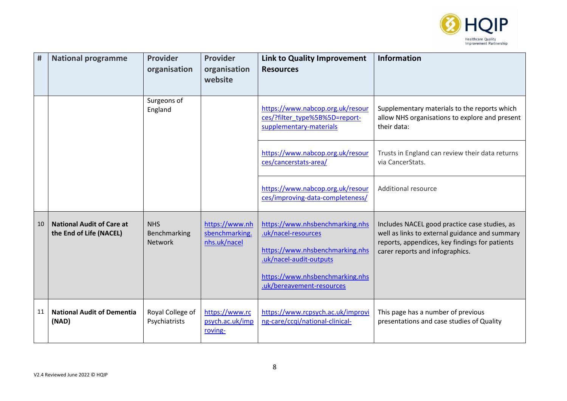

| $\pmb{\sharp}$ | <b>National programme</b>                                   | <b>Provider</b><br>organisation       | <b>Provider</b><br>organisation<br>website       | Link to Quality Improvement<br><b>Resources</b>                                                                                                                                      | <b>Information</b>                                                                                                                                                                   |
|----------------|-------------------------------------------------------------|---------------------------------------|--------------------------------------------------|--------------------------------------------------------------------------------------------------------------------------------------------------------------------------------------|--------------------------------------------------------------------------------------------------------------------------------------------------------------------------------------|
|                |                                                             | Surgeons of<br>England                |                                                  | https://www.nabcop.org.uk/resour<br>ces/?filter_type%5B%5D=report-<br>supplementary-materials                                                                                        | Supplementary materials to the reports which<br>allow NHS organisations to explore and present<br>their data:                                                                        |
|                |                                                             |                                       |                                                  | https://www.nabcop.org.uk/resour<br>ces/cancerstats-area/                                                                                                                            | Trusts in England can review their data returns<br>via CancerStats.                                                                                                                  |
|                |                                                             |                                       |                                                  | https://www.nabcop.org.uk/resour<br>ces/improving-data-completeness/                                                                                                                 | Additional resource                                                                                                                                                                  |
| 10             | <b>National Audit of Care at</b><br>the End of Life (NACEL) | <b>NHS</b><br>Benchmarking<br>Network | https://www.nh<br>sbenchmarking.<br>nhs.uk/nacel | https://www.nhsbenchmarking.nhs<br>.uk/nacel-resources<br>https://www.nhsbenchmarking.nhs<br>.uk/nacel-audit-outputs<br>https://www.nhsbenchmarking.nhs<br>.uk/bereavement-resources | Includes NACEL good practice case studies, as<br>well as links to external guidance and summary<br>reports, appendices, key findings for patients<br>carer reports and infographics. |
| 11             | <b>National Audit of Dementia</b><br>(NAD)                  | Royal College of<br>Psychiatrists     | https://www.rc<br>psych.ac.uk/imp<br>roving-     | https://www.rcpsych.ac.uk/improvi<br>ng-care/ccqi/national-clinical-                                                                                                                 | This page has a number of previous<br>presentations and case studies of Quality                                                                                                      |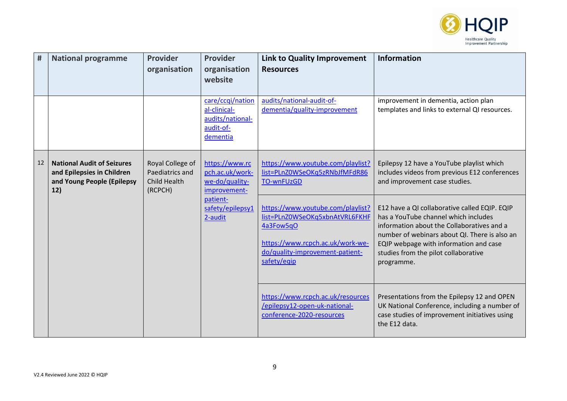

| #  | <b>National programme</b>                                                                            | <b>Provider</b><br>organisation                                       | <b>Provider</b><br>organisation<br>website                                                                                                                             | <b>Link to Quality Improvement</b><br><b>Resources</b>                                                                                                                                                                                                                               | <b>Information</b>                                                                                                                                             |
|----|------------------------------------------------------------------------------------------------------|-----------------------------------------------------------------------|------------------------------------------------------------------------------------------------------------------------------------------------------------------------|--------------------------------------------------------------------------------------------------------------------------------------------------------------------------------------------------------------------------------------------------------------------------------------|----------------------------------------------------------------------------------------------------------------------------------------------------------------|
|    |                                                                                                      |                                                                       | care/ccqi/nation<br>al-clinical-<br>audits/national-<br>audit-of-<br>dementia                                                                                          | audits/national-audit-of-<br>dementia/quality-improvement                                                                                                                                                                                                                            | improvement in dementia, action plan<br>templates and links to external QI resources.                                                                          |
| 12 | <b>National Audit of Seizures</b><br>and Epilepsies in Children<br>and Young People (Epilepsy<br>12) | Royal College of<br>Paediatrics and<br><b>Child Health</b><br>(RCPCH) | https://www.rc<br>pch.ac.uk/work-<br>we-do/quality-<br>improvement-                                                                                                    | https://www.youtube.com/playlist?<br>list=PLnZ0WSeOKq5zRNbJfMFdR86<br><b>TO-wnFUzGD</b>                                                                                                                                                                                              | Epilepsy 12 have a YouTube playlist which<br>includes videos from previous E12 conferences<br>and improvement case studies.                                    |
|    | patient-<br>2-audit                                                                                  | safety/epilepsy1                                                      | https://www.youtube.com/playlist?<br>list=PLnZ0WSeOKq5xbnAtVRL6FKHF<br>4a3Fow5qO<br>https://www.rcpch.ac.uk/work-we-<br>do/quality-improvement-patient-<br>safety/eqip | E12 have a QI collaborative called EQIP. EQIP<br>has a YouTube channel which includes<br>information about the Collaboratives and a<br>number of webinars about QI. There is also an<br>EQIP webpage with information and case<br>studies from the pilot collaborative<br>programme. |                                                                                                                                                                |
|    |                                                                                                      |                                                                       |                                                                                                                                                                        | https://www.rcpch.ac.uk/resources<br>/epilepsy12-open-uk-national-<br>conference-2020-resources                                                                                                                                                                                      | Presentations from the Epilepsy 12 and OPEN<br>UK National Conference, including a number of<br>case studies of improvement initiatives using<br>the E12 data. |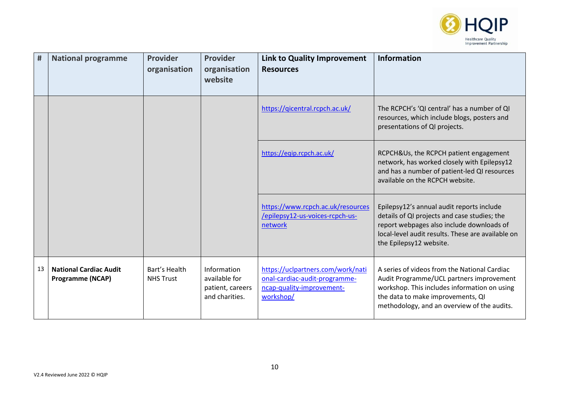

| #  | <b>National programme</b>                                | <b>Provider</b><br>organisation   | <b>Provider</b><br>organisation<br>website                         | <b>Link to Quality Improvement</b><br><b>Resources</b>                                                       | <b>Information</b>                                                                                                                                                                                                           |
|----|----------------------------------------------------------|-----------------------------------|--------------------------------------------------------------------|--------------------------------------------------------------------------------------------------------------|------------------------------------------------------------------------------------------------------------------------------------------------------------------------------------------------------------------------------|
|    |                                                          |                                   |                                                                    | https://qicentral.rcpch.ac.uk/                                                                               | The RCPCH's 'QI central' has a number of QI<br>resources, which include blogs, posters and<br>presentations of QI projects.                                                                                                  |
|    |                                                          |                                   |                                                                    | https://eqip.rcpch.ac.uk/                                                                                    | RCPCH&Us, the RCPCH patient engagement<br>network, has worked closely with Epilepsy12<br>and has a number of patient-led QI resources<br>available on the RCPCH website.                                                     |
|    |                                                          |                                   |                                                                    | https://www.rcpch.ac.uk/resources<br>/epilepsy12-us-voices-rcpch-us-<br>network                              | Epilepsy12's annual audit reports include<br>details of QI projects and case studies; the<br>report webpages also include downloads of<br>local-level audit results. These are available on<br>the Epilepsy12 website.       |
| 13 | <b>National Cardiac Audit</b><br><b>Programme (NCAP)</b> | Bart's Health<br><b>NHS Trust</b> | Information<br>available for<br>patient, careers<br>and charities. | https://uclpartners.com/work/nati<br>onal-cardiac-audit-programme-<br>ncap-quality-improvement-<br>workshop/ | A series of videos from the National Cardiac<br>Audit Programme/UCL partners improvement<br>workshop. This includes information on using<br>the data to make improvements, QI<br>methodology, and an overview of the audits. |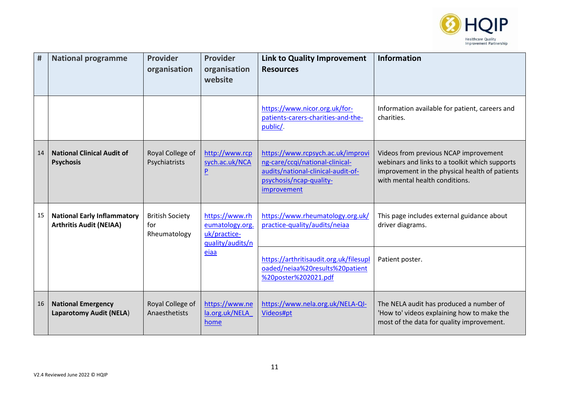

| #  | <b>National programme</b>                                            | <b>Provider</b><br>organisation               | Provider<br>organisation<br>website                                   | <b>Link to Quality Improvement</b><br><b>Resources</b>                                                                                               | <b>Information</b>                                                                                                                                                          |
|----|----------------------------------------------------------------------|-----------------------------------------------|-----------------------------------------------------------------------|------------------------------------------------------------------------------------------------------------------------------------------------------|-----------------------------------------------------------------------------------------------------------------------------------------------------------------------------|
|    |                                                                      |                                               |                                                                       | https://www.nicor.org.uk/for-<br>patients-carers-charities-and-the-<br>public/.                                                                      | Information available for patient, careers and<br>charities.                                                                                                                |
| 14 | <b>National Clinical Audit of</b><br><b>Psychosis</b>                | Royal College of<br>Psychiatrists             | http://www.rcp<br>sych.ac.uk/NCA<br>$\overline{P}$                    | https://www.rcpsych.ac.uk/improvi<br>ng-care/ccqi/national-clinical-<br>audits/national-clinical-audit-of-<br>psychosis/ncap-quality-<br>improvement | Videos from previous NCAP improvement<br>webinars and links to a toolkit which supports<br>improvement in the physical health of patients<br>with mental health conditions. |
| 15 | <b>National Early Inflammatory</b><br><b>Arthritis Audit (NEIAA)</b> | <b>British Society</b><br>for<br>Rheumatology | https://www.rh<br>eumatology.org.<br>uk/practice-<br>quality/audits/n | https://www.rheumatology.org.uk/<br>practice-quality/audits/neiaa                                                                                    | This page includes external guidance about<br>driver diagrams.                                                                                                              |
|    |                                                                      |                                               | eiaa                                                                  | https://arthritisaudit.org.uk/filesupl<br>oaded/neiaa%20results%20patient<br>%20poster%202021.pdf                                                    | Patient poster.                                                                                                                                                             |
| 16 | <b>National Emergency</b><br><b>Laparotomy Audit (NELA)</b>          | Royal College of<br>Anaesthetists             | https://www.ne<br>la.org.uk/NELA<br>home                              | https://www.nela.org.uk/NELA-QI-<br>Videos#pt                                                                                                        | The NELA audit has produced a number of<br>'How to' videos explaining how to make the<br>most of the data for quality improvement.                                          |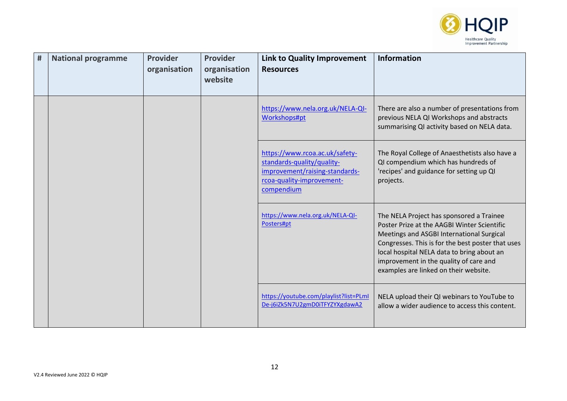

| # | <b>National programme</b> | <b>Provider</b><br>organisation | Provider<br>organisation<br>website | <b>Link to Quality Improvement</b><br><b>Resources</b>                                                                                    | <b>Information</b>                                                                                                                                                                                                                                                                                                         |
|---|---------------------------|---------------------------------|-------------------------------------|-------------------------------------------------------------------------------------------------------------------------------------------|----------------------------------------------------------------------------------------------------------------------------------------------------------------------------------------------------------------------------------------------------------------------------------------------------------------------------|
|   |                           |                                 |                                     | https://www.nela.org.uk/NELA-QI-<br>Workshops#pt                                                                                          | There are also a number of presentations from<br>previous NELA QI Workshops and abstracts<br>summarising QI activity based on NELA data.                                                                                                                                                                                   |
|   |                           |                                 |                                     | https://www.rcoa.ac.uk/safety-<br>standards-quality/quality-<br>improvement/raising-standards-<br>rcoa-quality-improvement-<br>compendium | The Royal College of Anaesthetists also have a<br>QI compendium which has hundreds of<br>'recipes' and guidance for setting up QI<br>projects.                                                                                                                                                                             |
|   |                           |                                 |                                     | https://www.nela.org.uk/NELA-QI-<br>Posters#pt                                                                                            | The NELA Project has sponsored a Trainee<br>Poster Prize at the AAGBI Winter Scientific<br>Meetings and ASGBI International Surgical<br>Congresses. This is for the best poster that uses<br>local hospital NELA data to bring about an<br>improvement in the quality of care and<br>examples are linked on their website. |
|   |                           |                                 |                                     | https://youtube.com/playlist?list=PLmI<br>De-j6iZk5N7U2gmD0iTFYZYXgdawA2                                                                  | NELA upload their QI webinars to YouTube to<br>allow a wider audience to access this content.                                                                                                                                                                                                                              |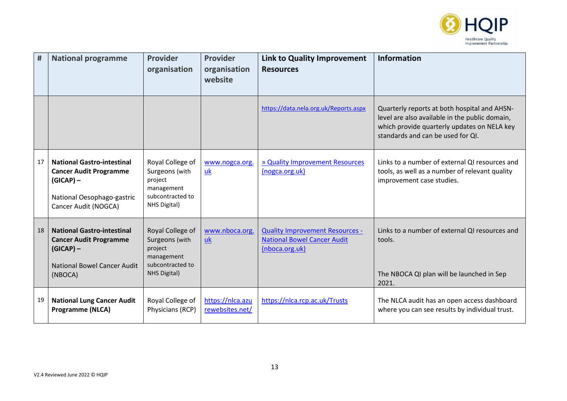

| #  | <b>National programme</b>                                                                                                               | <b>Provider</b><br>organisation                                                                        | <b>Provider</b><br>organisation<br>website | <b>Link to Quality Improvement</b><br><b>Resources</b>                                         | <b>Information</b>                                                                                                                                                                 |
|----|-----------------------------------------------------------------------------------------------------------------------------------------|--------------------------------------------------------------------------------------------------------|--------------------------------------------|------------------------------------------------------------------------------------------------|------------------------------------------------------------------------------------------------------------------------------------------------------------------------------------|
|    |                                                                                                                                         |                                                                                                        |                                            | https://data.nela.org.uk/Reports.aspx                                                          | Quarterly reports at both hospital and AHSN-<br>level are also available in the public domain,<br>which provide quarterly updates on NELA key<br>standards and can be used for QI. |
| 17 | <b>National Gastro-intestinal</b><br><b>Cancer Audit Programme</b><br>$(GICAP)$ –<br>National Oesophago-gastric<br>Cancer Audit (NOGCA) | Royal College of<br>Surgeons (with<br>project<br>management<br>subcontracted to<br>NHS Digital)        | www.nogca.org.<br>uk                       | » Quality Improvement Resources<br>(nogca.org.uk)                                              | Links to a number of external QI resources and<br>tools, as well as a number of relevant quality<br>improvement case studies.                                                      |
| 18 | <b>National Gastro-intestinal</b><br><b>Cancer Audit Programme</b><br>$(GICAP)$ –<br><b>National Bowel Cancer Audit</b><br>(NBOCA)      | Royal College of<br>Surgeons (with<br>project<br>management<br>subcontracted to<br><b>NHS Digital)</b> | www.nboca.org.<br>uk                       | <b>Quality Improvement Resources -</b><br><b>National Bowel Cancer Audit</b><br>(nboca.org.uk) | Links to a number of external QI resources and<br>tools.<br>The NBOCA QI plan will be launched in Sep<br>2021.                                                                     |
| 19 | <b>National Lung Cancer Audit</b><br><b>Programme (NLCA)</b>                                                                            | Royal College of<br>Physicians (RCP)                                                                   | https://nlca.azu<br>rewebsites.net/        | https://nlca.rcp.ac.uk/Trusts                                                                  | The NLCA audit has an open access dashboard<br>where you can see results by individual trust.                                                                                      |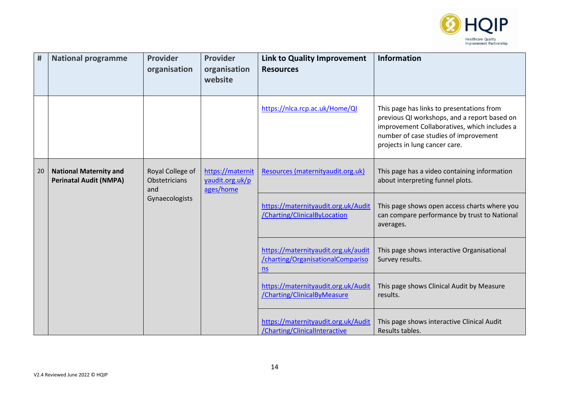

| $\pmb{\sharp}$ | <b>National programme</b>                                                                                                    | <b>Provider</b><br>organisation                  | <b>Provider</b><br>organisation<br>website | <b>Link to Quality Improvement</b><br><b>Resources</b>                           | <b>Information</b>                                                                                                                                                                                                  |
|----------------|------------------------------------------------------------------------------------------------------------------------------|--------------------------------------------------|--------------------------------------------|----------------------------------------------------------------------------------|---------------------------------------------------------------------------------------------------------------------------------------------------------------------------------------------------------------------|
|                |                                                                                                                              |                                                  |                                            | https://nlca.rcp.ac.uk/Home/QI                                                   | This page has links to presentations from<br>previous QI workshops, and a report based on<br>improvement Collaboratives, which includes a<br>number of case studies of improvement<br>projects in lung cancer care. |
| 20             | Royal College of<br><b>National Maternity and</b><br><b>Perinatal Audit (NMPA)</b><br>Obstetricians<br>and<br>Gynaecologists | https://maternit<br>yaudit.org.uk/p<br>ages/home | Resources (maternityaudit.org.uk)          | This page has a video containing information<br>about interpreting funnel plots. |                                                                                                                                                                                                                     |
|                |                                                                                                                              |                                                  |                                            | https://maternityaudit.org.uk/Audit<br>/Charting/ClinicalByLocation              | This page shows open access charts where you<br>can compare performance by trust to National<br>averages.                                                                                                           |
|                |                                                                                                                              |                                                  |                                            | https://maternityaudit.org.uk/audit<br>/charting/OrganisationalCompariso<br>ns   | This page shows interactive Organisational<br>Survey results.                                                                                                                                                       |
|                |                                                                                                                              |                                                  |                                            | https://maternityaudit.org.uk/Audit<br>/Charting/ClinicalByMeasure               | This page shows Clinical Audit by Measure<br>results.                                                                                                                                                               |
|                |                                                                                                                              |                                                  |                                            | https://maternityaudit.org.uk/Audit<br>/Charting/ClinicalInteractive             | This page shows interactive Clinical Audit<br>Results tables.                                                                                                                                                       |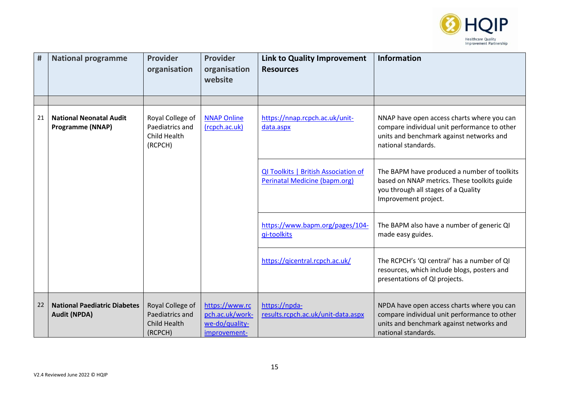

| #  | <b>National programme</b>                                  | <b>Provider</b><br>organisation                                       | <b>Provider</b><br>organisation<br>website                          | <b>Link to Quality Improvement</b><br><b>Resources</b>                       | <b>Information</b>                                                                                                                                            |
|----|------------------------------------------------------------|-----------------------------------------------------------------------|---------------------------------------------------------------------|------------------------------------------------------------------------------|---------------------------------------------------------------------------------------------------------------------------------------------------------------|
|    |                                                            |                                                                       |                                                                     |                                                                              |                                                                                                                                                               |
| 21 | <b>National Neonatal Audit</b><br><b>Programme (NNAP)</b>  | Royal College of<br>Paediatrics and<br>Child Health<br>(RCPCH)        | <b>NNAP Online</b><br>(rcpch.ac.uk)                                 | https://nnap.rcpch.ac.uk/unit-<br>data.aspx                                  | NNAP have open access charts where you can<br>compare individual unit performance to other<br>units and benchmark against networks and<br>national standards. |
|    |                                                            |                                                                       |                                                                     | QI Toolkits   British Association of<br><b>Perinatal Medicine (bapm.org)</b> | The BAPM have produced a number of toolkits<br>based on NNAP metrics. These toolkits guide<br>you through all stages of a Quality<br>Improvement project.     |
|    |                                                            |                                                                       |                                                                     | https://www.bapm.org/pages/104-<br>qi-toolkits                               | The BAPM also have a number of generic QI<br>made easy guides.                                                                                                |
|    |                                                            |                                                                       |                                                                     | https://gicentral.rcpch.ac.uk/                                               | The RCPCH's 'QI central' has a number of QI<br>resources, which include blogs, posters and<br>presentations of QI projects.                                   |
| 22 | <b>National Paediatric Diabetes</b><br><b>Audit (NPDA)</b> | Royal College of<br>Paediatrics and<br><b>Child Health</b><br>(RCPCH) | https://www.rc<br>pch.ac.uk/work-<br>we-do/quality-<br>improvement- | https://npda-<br>results.rcpch.ac.uk/unit-data.aspx                          | NPDA have open access charts where you can<br>compare individual unit performance to other<br>units and benchmark against networks and<br>national standards. |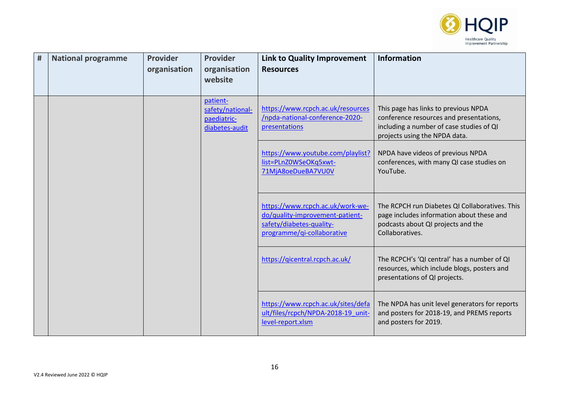

| # | <b>National programme</b> | <b>Provider</b><br>organisation | <b>Provider</b><br>organisation<br>website                    | Link to Quality Improvement<br><b>Resources</b>                                                                               | <b>Information</b>                                                                                                                                           |
|---|---------------------------|---------------------------------|---------------------------------------------------------------|-------------------------------------------------------------------------------------------------------------------------------|--------------------------------------------------------------------------------------------------------------------------------------------------------------|
|   |                           |                                 | patient-<br>safety/national-<br>paediatric-<br>diabetes-audit | https://www.rcpch.ac.uk/resources<br>/npda-national-conference-2020-<br>presentations                                         | This page has links to previous NPDA<br>conference resources and presentations,<br>including a number of case studies of QI<br>projects using the NPDA data. |
|   |                           |                                 |                                                               | https://www.youtube.com/playlist?<br>list=PLnZ0WSeOKq5xwt-<br>71MjA8oeDueBA7VU0V                                              | NPDA have videos of previous NPDA<br>conferences, with many QI case studies on<br>YouTube.                                                                   |
|   |                           |                                 |                                                               | https://www.rcpch.ac.uk/work-we-<br>do/quality-improvement-patient-<br>safety/diabetes-quality-<br>programme/qi-collaborative | The RCPCH run Diabetes QI Collaboratives. This<br>page includes information about these and<br>podcasts about QI projects and the<br>Collaboratives.         |
|   |                           |                                 |                                                               | https://qicentral.rcpch.ac.uk/                                                                                                | The RCPCH's 'QI central' has a number of QI<br>resources, which include blogs, posters and<br>presentations of QI projects.                                  |
|   |                           |                                 |                                                               | https://www.rcpch.ac.uk/sites/defa<br>ult/files/rcpch/NPDA-2018-19 unit-<br>level-report.xlsm                                 | The NPDA has unit level generators for reports<br>and posters for 2018-19, and PREMS reports<br>and posters for 2019.                                        |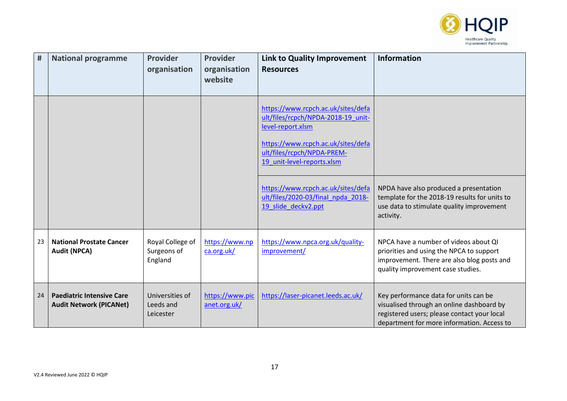

| #  | <b>National programme</b>                                          | <b>Provider</b><br>organisation            | <b>Provider</b><br>organisation<br>website | <b>Link to Quality Improvement</b><br><b>Resources</b>                                                                                                                                          | <b>Information</b>                                                                                                                                                              |
|----|--------------------------------------------------------------------|--------------------------------------------|--------------------------------------------|-------------------------------------------------------------------------------------------------------------------------------------------------------------------------------------------------|---------------------------------------------------------------------------------------------------------------------------------------------------------------------------------|
|    |                                                                    |                                            |                                            | https://www.rcpch.ac.uk/sites/defa<br>ult/files/rcpch/NPDA-2018-19 unit-<br>level-report.xlsm<br>https://www.rcpch.ac.uk/sites/defa<br>ult/files/rcpch/NPDA-PREM-<br>19 unit-level-reports.xlsm |                                                                                                                                                                                 |
|    |                                                                    |                                            |                                            | https://www.rcpch.ac.uk/sites/defa<br>ult/files/2020-03/final npda 2018-<br>19 slide_deckv2.ppt                                                                                                 | NPDA have also produced a presentation<br>template for the 2018-19 results for units to<br>use data to stimulate quality improvement<br>activity.                               |
| 23 | <b>National Prostate Cancer</b><br><b>Audit (NPCA)</b>             | Royal College of<br>Surgeons of<br>England | https://www.np<br>ca.org.uk/               | https://www.npca.org.uk/quality-<br>improvement/                                                                                                                                                | NPCA have a number of videos about QI<br>priorities and using the NPCA to support<br>improvement. There are also blog posts and<br>quality improvement case studies.            |
| 24 | <b>Paediatric Intensive Care</b><br><b>Audit Network (PICANet)</b> | Universities of<br>Leeds and<br>Leicester  | https://www.pic<br>anet.org.uk/            | https://laser-picanet.leeds.ac.uk/                                                                                                                                                              | Key performance data for units can be<br>visualised through an online dashboard by<br>registered users; please contact your local<br>department for more information. Access to |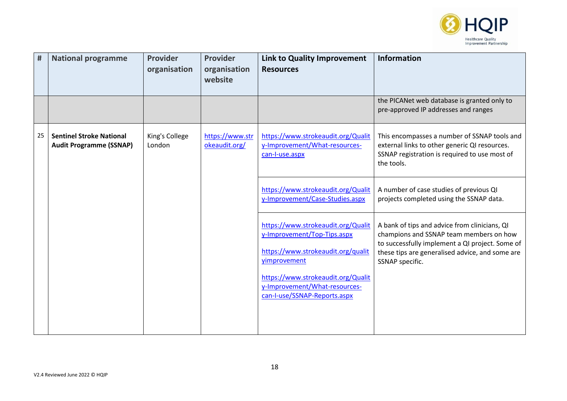

| #  | <b>National programme</b>                                         | <b>Provider</b><br>organisation | <b>Provider</b><br>organisation<br>website | <b>Link to Quality Improvement</b><br><b>Resources</b>                                                                                                                                                                         | <b>Information</b>                                                                                                                                                                                                |
|----|-------------------------------------------------------------------|---------------------------------|--------------------------------------------|--------------------------------------------------------------------------------------------------------------------------------------------------------------------------------------------------------------------------------|-------------------------------------------------------------------------------------------------------------------------------------------------------------------------------------------------------------------|
|    |                                                                   |                                 |                                            |                                                                                                                                                                                                                                | the PICANet web database is granted only to<br>pre-approved IP addresses and ranges                                                                                                                               |
| 25 | <b>Sentinel Stroke National</b><br><b>Audit Programme (SSNAP)</b> | King's College<br>London        | https://www.str<br>okeaudit.org/           | https://www.strokeaudit.org/Qualit<br>y-Improvement/What-resources-<br>can-I-use.aspx                                                                                                                                          | This encompasses a number of SSNAP tools and<br>external links to other generic QI resources.<br>SSNAP registration is required to use most of<br>the tools.                                                      |
|    |                                                                   |                                 |                                            | https://www.strokeaudit.org/Qualit<br>y-Improvement/Case-Studies.aspx                                                                                                                                                          | A number of case studies of previous QI<br>projects completed using the SSNAP data.                                                                                                                               |
|    |                                                                   |                                 |                                            | https://www.strokeaudit.org/Qualit<br>y-Improvement/Top-Tips.aspx<br>https://www.strokeaudit.org/qualit<br>yimprovement<br>https://www.strokeaudit.org/Qualit<br>y-Improvement/What-resources-<br>can-I-use/SSNAP-Reports.aspx | A bank of tips and advice from clinicians, QI<br>champions and SSNAP team members on how<br>to successfully implement a QI project. Some of<br>these tips are generalised advice, and some are<br>SSNAP specific. |